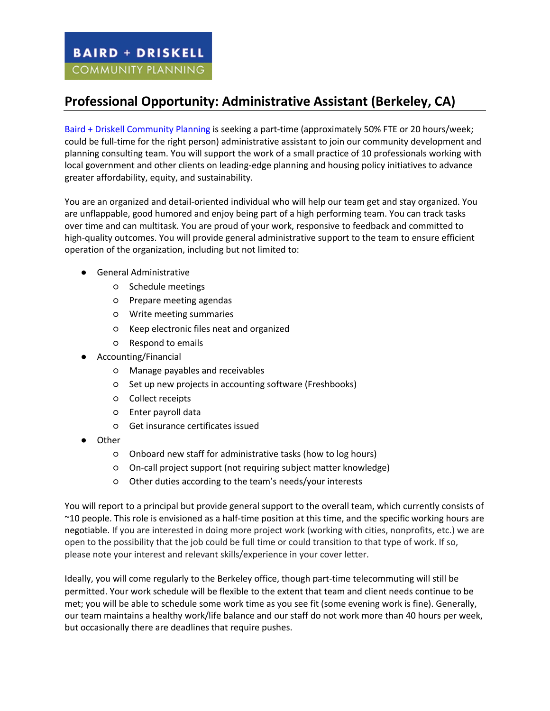## **Professional Opportunity: Administrative Assistant (Berkeley, CA)**

Baird + Driskell Community Planning is seeking a part-time (approximately 50% FTE or 20 hours/week; could be full-time for the right person) administrative assistant to join our community development and planning consulting team. You will support the work of a small practice of 10 professionals working with local government and other clients on leading-edge planning and housing policy initiatives to advance greater affordability, equity, and sustainability.

You are an organized and detail-oriented individual who will help our team get and stay organized. You are unflappable, good humored and enjoy being part of a high performing team. You can track tasks over time and can multitask. You are proud of your work, responsive to feedback and committed to high-quality outcomes. You will provide general administrative support to the team to ensure efficient operation of the organization, including but not limited to:

- General Administrative
	- Schedule meetings
	- Prepare meeting agendas
	- Write meeting summaries
	- Keep electronic files neat and organized
	- Respond to emails
- Accounting/Financial
	- Manage payables and receivables
	- Set up new projects in accounting software (Freshbooks)
	- Collect receipts
	- Enter payroll data
	- Get insurance certificates issued
- Other
	- Onboard new staff for administrative tasks (how to log hours)
	- On-call project support (not requiring subject matter knowledge)
	- Other duties according to the team's needs/your interests

You will report to a principal but provide general support to the overall team, which currently consists of ~10 people. This role is envisioned as a half-time position at this time, and the specific working hours are negotiable. If you are interested in doing more project work (working with cities, nonprofits, etc.) we are open to the possibility that the job could be full time or could transition to that type of work. If so, please note your interest and relevant skills/experience in your cover letter.

Ideally, you will come regularly to the Berkeley office, though part-time telecommuting will still be permitted. Your work schedule will be flexible to the extent that team and client needs continue to be met; you will be able to schedule some work time as you see fit (some evening work is fine). Generally, our team maintains a healthy work/life balance and our staff do not work more than 40 hours per week, but occasionally there are deadlines that require pushes.